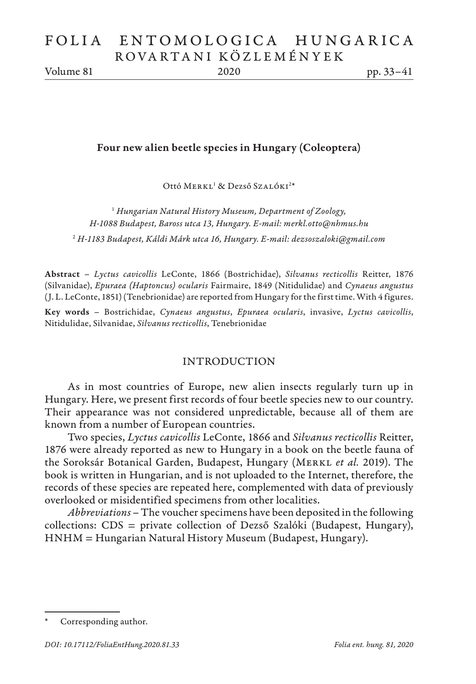Volume 81 2020 pp. 33–41

### Four new alien beetle species in Hungary (Coleoptera)

Ottó MERKL<sup>1</sup> & Dezső Szalóki<sup>2\*</sup>

1  *Hungarian Natural History Museum, Department of Zoology, H-1088 Budapest, Baross utca 13, Hungary. E-mail: merkl.otto@nhmus.hu* 2  *H-1183 Budapest, Káldi Márk utca 16, Hungary. E-mail: dezsoszaloki@gmail.com*

Abstract – *Lyctus cavicollis* LeConte, 1866 (Bostrichidae), *Silvanus recticollis* Reitter, 1876 (Silvanidae), *Epuraea (Haptoncus) ocularis* Fairmaire, 1849 (Nitidulidae) and *Cynaeus angustus* (J. L. LeConte, 1851) (Tenebrionidae) are reported from Hungary for the first time. With 4 figures.

Key words – Bostrichidae, *Cynaeus angustus*, *Epuraea ocularis*, invasive, *Lyctus cavicollis*, Nitidulidae, Silvanidae, *Silvanus recticollis*, Tenebrionidae

### INTRODUCTION

As in most countries of Europe, new alien insects regularly turn up in Hungary. Here, we present first records of four beetle species new to our country. Their appearance was not considered unpredictable, because all of them are known from a number of European countries.

Two species, *Lyctus cavicollis* LeConte, 1866 and *Silvanus recticollis* Reitter, 1876 were already reported as new to Hungary in a book on the beetle fauna of the Soroksár Botanical Garden, Budapest, Hungary (MERKL et al. 2019). The book is written in Hungarian, and is not uploaded to the Internet, therefore, the records of these species are repeated here, complemented with data of previously overlooked or misidentified specimens from other localities.

*Abbreviations* – The voucher specimens have been deposited in the following collections: CDS = private collection of Dezső Szalóki (Budapest, Hungary), HNHM = Hungarian Natural History Museum (Budapest, Hungary).

Corresponding author.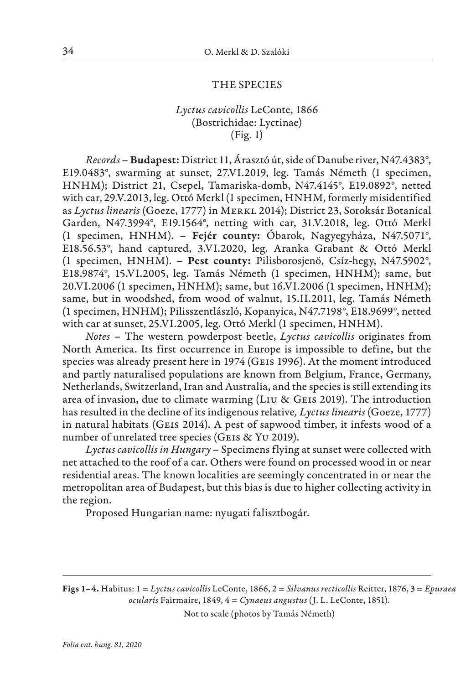#### THE SPECIES

## *Lyctus cavicollis* LeConte, 1866 (Bostrichidae: Lyctinae) (Fig. 1)

*Records* – Budapest: District 11, Árasztó út, side of Danube river, N47.4383°, E19.0483°, swarming at sunset, 27.VI.2019, leg. Tamás Németh (1 specimen, HNHM); District 21, Csepel, Tamariska-domb, N47.4145°, E19.0892°, netted with car, 29.V.2013, leg. Ottó Merkl (1 specimen, HNHM, formerly misidentified as *Lyctus linearis* (Goeze, 1777) in Merkl 2014); District 23, Soroksár Botanical Garden, N47.3994°, E19.1564°, netting with car, 31.V.2018, leg. Ottó Merkl (1 specimen, HNHM). – Fejér county: Óbarok, Nagyegyháza, N47.5071°, E18.56.53°, hand captured, 3.VI.2020, leg. Aranka Grabant & Ottó Merkl (1 specimen, HNHM). – Pest county: Pilisborosjenő, Csíz-hegy, N47.5902°, E18.9874°, 15.VI.2005, leg. Tamás Németh (1 specimen, HNHM); same, but 20.VI.2006 (1 specimen, HNHM); same, but 16.VI.2006 (1 specimen, HNHM); same, but in woodshed, from wood of walnut, 15.II.2011, leg. Tamás Németh (1 specimen, HNHM); Pilisszentlászló, Kopanyica, N47.7198°, E18.9699°, netted with car at sunset, 25.VI.2005, leg. Ottó Merkl (1 specimen, HNHM).

*Notes* – The western powderpost beetle, *Lyctus cavicollis* originates from North America. Its first occurrence in Europe is impossible to define, but the species was already present here in 1974 (GEIS 1996). At the moment introduced and partly naturalised populations are known from Belgium, France, Germany, Netherlands, Switzerland, Iran and Australia, and the species is still extending its area of invasion, due to climate warming (Liu & Geis 2019). The introduction has resulted in the decline of its indigenous relative*, Lyctus linearis* (Goeze, 1777) in natural habitats (Geis 2014). A pest of sapwood timber, it infests wood of a number of unrelated tree species (GEIS & YU 2019).

*Lyctus cavicollis in Hungary* – Specimens flying at sunset were collected with net attached to the roof of a car. Others were found on processed wood in or near residential areas. The known localities are seemingly concentrated in or near the metropolitan area of Budapest, but this bias is due to higher collecting activity in the region.

Proposed Hungarian name: nyugati falisztbogár.

Figs 1–4. Habitus: 1 = *Lyctus cavicollis* LeConte, 1866, 2 = *Silvanus recticollis* Reitter, 1876, 3 = *Epuraea ocularis* Fairmaire, 1849, 4 = *Cynaeus angustus* (J. L. LeConte, 1851).

Not to scale (photos by Tamás Németh)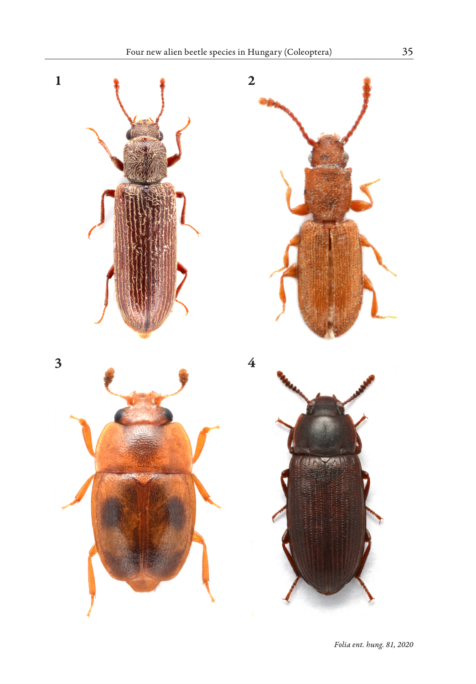

*Folia ent. hung. 81, 2020*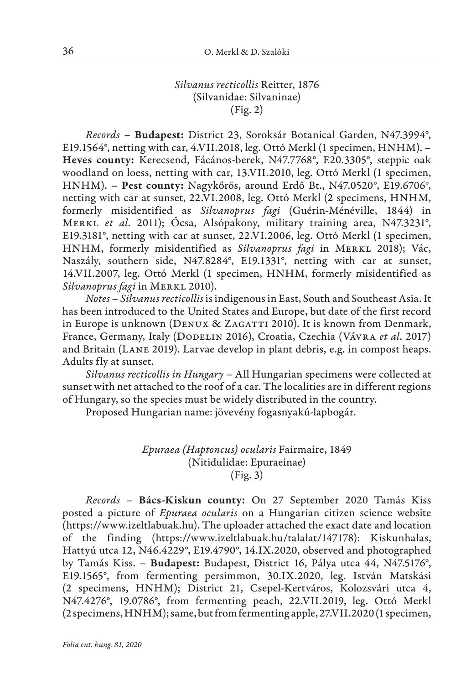# *Silvanus recticollis* Reitter, 1876 (Silvanidae: Silvaninae) (Fig. 2)

*Records* – Budapest: District 23, Soroksár Botanical Garden, N47.3994°, E19.1564°, netting with car, 4.VII.2018, leg. Ottó Merkl (1 specimen, HNHM). – Heves county: Kerecsend, Fácános-berek, N47.7768°, E20.3305°, steppic oak woodland on loess, netting with car, 13.VII.2010, leg. Ottó Merkl (1 specimen, HNHM). – Pest county: Nagykőrös, around Erdő Bt., N47.0520°, E19.6706°, netting with car at sunset, 22.VI.2008, leg. Ottó Merkl (2 specimens, HNHM, formerly misidentified as *Silvanoprus fagi* (Guérin-Ménéville, 1844) in Merkl *et al*. 2011); Ócsa, Alsópakony, military training area, N47.3231°, E19.3181°, netting with car at sunset, 22.VI.2006, leg. Ottó Merkl (1 specimen, HNHM, formerly misidentified as *Silvanoprus fagi* in MERKL 2018); Vác, Naszály, southern side, N47.8284°, E19.1331°, netting with car at sunset, 14.VII.2007, leg. Ottó Merkl (1 specimen, HNHM, formerly misidentified as *Silvanoprus fagi* in Merkl 2010).

*Notes* – *Silvanus recticollis* is indigenous in East, South and Southeast Asia. It has been introduced to the United States and Europe, but date of the first record in Europe is unknown (DENUX & ZAGATTI 2010). It is known from Denmark, France, Germany, Italy (Dodelin 2016), Croatia, Czechia (Vávra *et al*. 2017) and Britain (Lane 2019). Larvae develop in plant debris, e.g. in compost heaps. Adults fly at sunset.

*Silvanus recticollis in Hungary* – All Hungarian specimens were collected at sunset with net attached to the roof of a car. The localities are in different regions of Hungary, so the species must be widely distributed in the country.

Proposed Hungarian name: jövevény fogasnyakú-lapbogár.

*Epuraea (Haptoncus) ocularis* Fairmaire, 1849 (Nitidulidae: Epuraeinae) (Fig. 3)

*Records* – Bács-Kiskun county: On 27 September 2020 Tamás Kiss posted a picture of *Epuraea ocularis* on a Hungarian citizen science website (https://www.izeltlabuak.hu). The uploader attached the exact date and location of the finding (https://www.izeltlabuak.hu/talalat/147178): Kiskunhalas, Hattyú utca 12, N46.4229°, E19.4790°, 14.IX.2020, observed and photographed by Tamás Kiss. *–* Budapest: Budapest, District 16, Pálya utca 44, N47.5176°, E19.1565°, from fermenting persimmon, 30.IX.2020, leg. István Matskási (2 specimens, HNHM); District 21, Csepel-Kertváros, Kolozsvári utca 4, N47.4276°, 19.0786°, from fermenting peach, 22.VII.2019, leg. Ottó Merkl (2 specimens, HNHM); same, but from fermenting apple, 27.VII.2020 (1 specimen,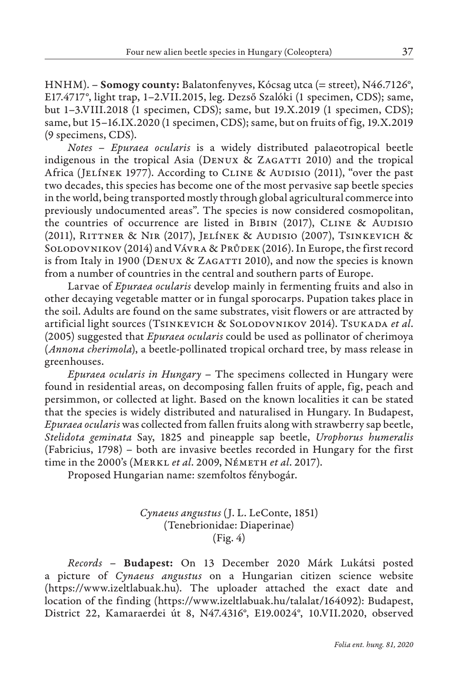HNHM). – **Somogy county:** Balatonfenyves, Kócsag utca (= street), N46.7126°, E17.4717°, light trap, 1–2.VII.2015, leg. Dezső Szalóki (1 specimen, CDS); same, but 1–3.VIII.2018 (1 specimen, CDS); same, but 19.X.2019 (1 specimen, CDS); same, but 15–16.IX.2020 (1 specimen, CDS); same, but on fruits of fig, 19.X.2019 (9 specimens, CDS).

*Notes – Epuraea ocularis* is a widely distributed palaeotropical beetle indigenous in the tropical Asia (DENUX & ZAGATTI 2010) and the tropical Africa (JELÍNEK 1977). According to CLINE & AUDISIO (2011), "over the past two decades, this species has become one of the most pervasive sap beetle species in the world, being transported mostly through global agricultural commerce into previously undocumented areas". The species is now considered cosmopolitan, the countries of occurrence are listed in BIBIN (2017), CLINE & AUDISIO (2011), Rittner & Nir (2017), Jelínek & Audisio (2007), Tsinkevich & Solodovnikov (2014) and Vávra & Průdek (2016). In Europe, the first record is from Italy in 1900 (DENUX & ZAGATTI 2010), and now the species is known from a number of countries in the central and southern parts of Europe.

Larvae of *Epuraea ocularis* develop mainly in fermenting fruits and also in other decaying vegetable matter or in fungal sporocarps. Pupation takes place in the soil. Adults are found on the same substrates, visit flowers or are attracted by artificial light sources (TSINKEVICH & SOLODOVNIKOV 2014). TSUKADA et al. (2005) suggested that *Epuraea ocularis* could be used as pollinator of cherimoya (*Annona cherimola*), a beetle-pollinated tropical orchard tree, by mass release in greenhouses.

*Epuraea ocularis in Hungary* – The specimens collected in Hungary were found in residential areas, on decomposing fallen fruits of apple, fig, peach and persimmon, or collected at light. Based on the known localities it can be stated that the species is widely distributed and naturalised in Hungary. In Budapest, *Epuraea ocularis* was collected from fallen fruits along with strawberry sap beetle, *Stelidota geminata* Say, 1825 and pineapple sap beetle, *Urophorus humeralis* (Fabricius, 1798) – both are invasive beetles recorded in Hungary for the first time in the 2000's (Merkl *et al*. 2009, Németh *et al*. 2017).

Proposed Hungarian name: szemfoltos fénybogár.

*Cynaeus angustus* (J. L. LeConte, 1851) (Tenebrionidae: Diaperinae) (Fig. 4)

*Records* – Budapest: On 13 December 2020 Márk Lukátsi posted a picture of *Cynaeus angustus* on a Hungarian citizen science website (https://www.izeltlabuak.hu). The uploader attached the exact date and location of the finding (https://www.izeltlabuak.hu/talalat/164092): Budapest, District 22, Kamaraerdei út 8, N47.4316°, E19.0024°, 10.VII.2020, observed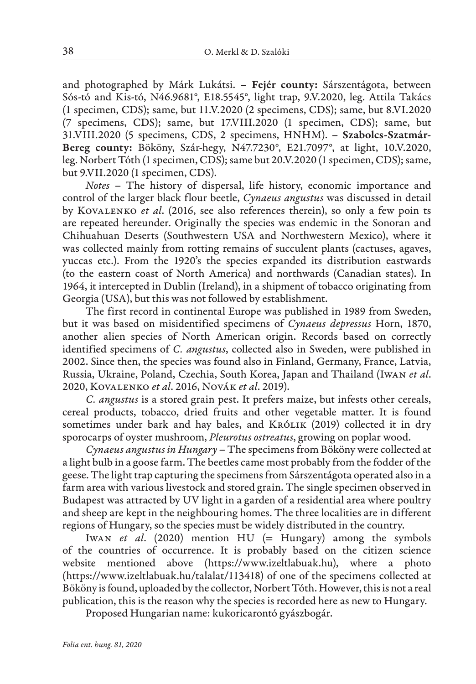and photographed by Márk Lukátsi. – Fejér county: Sárszentágota, between Sós-tó and Kis-tó, N46.9681°, E18.5545°, light trap, 9.V.2020, leg. Attila Takács (1 specimen, CDS); same, but 11.V.2020 (2 specimens, CDS); same, but 8.VI.2020 (7 specimens, CDS); same, but 17.VIII.2020 (1 specimen, CDS); same, but 31.VIII.2020 (5 specimens, CDS, 2 specimens, HNHM). – Szabolcs-Szatmár-Bereg county: Bököny, Szár-hegy, N47.7230°, E21.7097°, at light, 10.V.2020, leg. Norbert Tóth (1 specimen, CDS); same but 20.V.2020 (1 specimen, CDS); same, but 9.VII.2020 (1 specimen, CDS).

*Notes* – The history of dispersal, life history, economic importance and control of the larger black flour beetle, *Cynaeus angustus* was discussed in detail by Kovalenko *et al*. (2016, see also references therein), so only a few poin ts are repeated hereunder. Originally the species was endemic in the Sonoran and Chihuahuan Deserts (Southwestern USA and Northwestern Mexico), where it was collected mainly from rotting remains of succulent plants (cactuses, agaves, yuccas etc.). From the 1920's the species expanded its distribution eastwards (to the eastern coast of North America) and northwards (Canadian states). In 1964, it intercepted in Dublin (Ireland), in a shipment of tobacco originating from Georgia (USA), but this was not followed by establishment.

The first record in continental Europe was published in 1989 from Sweden, but it was based on misidentified specimens of *Cynaeus depressus* Horn, 1870, another alien species of North American origin. Records based on correctly identified specimens of *C. angustus*, collected also in Sweden, were published in 2002. Since then, the species was found also in Finland, Germany, France, Latvia, Russia, Ukraine, Poland, Czechia, South Korea, Japan and Thailand (Iwan *et al*. 2020, Kovalenko *et al*. 2016, Novák *et al*. 2019).

*C. angustus* is a stored grain pest. It prefers maize, but infests other cereals, cereal products, tobacco, dried fruits and other vegetable matter. It is found sometimes under bark and hay bales, and KRÓLIK (2019) collected it in dry sporocarps of oyster mushroom, *Pleurotus ostreatus*, growing on poplar wood.

*Cynaeus angustus in Hungary* – The specimens from Bököny were collected at a light bulb in a goose farm. The beetles came most probably from the fodder of the geese. The light trap capturing the specimens from Sárszentágota operated also in a farm area with various livestock and stored grain. The single specimen observed in Budapest was attracted by UV light in a garden of a residential area where poultry and sheep are kept in the neighbouring homes. The three localities are in different regions of Hungary, so the species must be widely distributed in the country.

Iwan *et al*. (2020) mention HU (= Hungary) among the symbols of the countries of occurrence. It is probably based on the citizen science website mentioned above (https://www.izeltlabuak.hu), where a photo (https://www.izeltlabuak.hu/talalat/113418) of one of the specimens collected at Bököny is found, uploaded by the collector, Norbert Tóth. However, this is not a real publication, this is the reason why the species is recorded here as new to Hungary.

Proposed Hungarian name: kukoricarontó gyászbogár.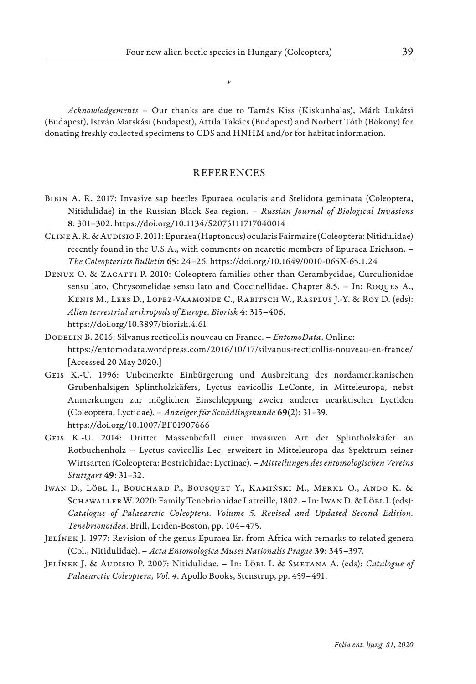\*

*Acknowledgements* – Our thanks are due to Tamás Kiss (Kiskunhalas), Márk Lukátsi (Budapest), István Matskási (Budapest), Attila Takács (Budapest) and Norbert Tóth (Bököny) for donating freshly collected specimens to CDS and HNHM and/or for habitat information.

## **REFERENCES**

- Bibin A. R. 2017: Invasive sap beetles Epuraea ocularis and Stelidota geminata (Coleoptera, Nitidulidae) in the Russian Black Sea region. – *Russian Journal of Biological Invasions*  8: 301–302. https://doi.org/10.1134/S2075111717040014
- Cline A. R. & Audisio P. 2011: Epuraea (Haptoncus) ocularis Fairmaire (Coleoptera: Nitidulidae) recently found in the U.S.A., with comments on nearctic members of Epuraea Erichson. – *The Coleopterists Bulletin* 65: 24–26. https://doi.org/10.1649/0010-065X-65.1.24
- DENUX O. & ZAGATTI P. 2010: Coleoptera families other than Cerambycidae, Curculionidae sensu lato, Chrysomelidae sensu lato and Coccinellidae. Chapter 8.5. – In: Roques A., Kenis M., Lees D., Lopez-Vaamonde C., Rabitsch W., Rasplus J.-Y. & Roy D. (eds): *Alien terrestrial arthropods of Europe*. *Biorisk* 4: 315–406. https://doi.org/10.3897/biorisk.4.61
- Dodelin B. 2016: Silvanus recticollis nouveau en France. *EntomoData*. Online: https://entomodata.wordpress.com/2016/10/17/silvanus-recticollis-nouveau-en-france/ [Accessed 20 May 2020.]
- Geis K.-U. 1996: Unbemerkte Einbürgerung und Ausbreitung des nordamerikanischen Grubenhalsigen Splintholzkäfers, Lyctus cavicollis LeConte, in Mitteleuropa, nebst Anmerkungen zur möglichen Einschleppung zweier anderer nearktischer Lyctiden (Coleoptera, Lyctidae). – *Anzeiger für Schädlingskunde* 69(2): 31–39. https://doi.org/10.1007/BF01907666
- Geis K.-U. 2014: Dritter Massenbefall einer invasiven Art der Splintholzkäfer an Rotbuchenholz – Lyctus cavicollis Lec. erweitert in Mitteleuropa das Spektrum seiner Wirtsarten (Coleoptera: Bostrichidae: Lyctinae). – *Mitteilungen des entomologischen Vereins Stuttgart* 49: 31–32.
- Iwan D., Löbl I., Bouchard P., Bousquet Y., Kamiński M., Merkl O., Ando K. & SCHAWALLER W. 2020: Family Tenebrionidae Latreille, 1802. - In: IWAN D. & LÖBL I. (eds): *Catalogue of Palaearctic Coleoptera. Volume 5. Revised and Updated Second Edition. Tenebrionoidea*. Brill, Leiden-Boston, pp. 104–475.
- Jelínek J. 1977: Revision of the genus Epuraea Er. from Africa with remarks to related genera (Col., Nitidulidae). – *Acta Entomologica Musei Nationalis Pragae* 39: 345–397.
- Jelínek J. & Audisio P. 2007: Nitidulidae. In: Löbl I. & Smetana A. (eds): *Catalogue of Palaearctic Coleoptera, Vol. 4*. Apollo Books, Stenstrup, pp. 459–491.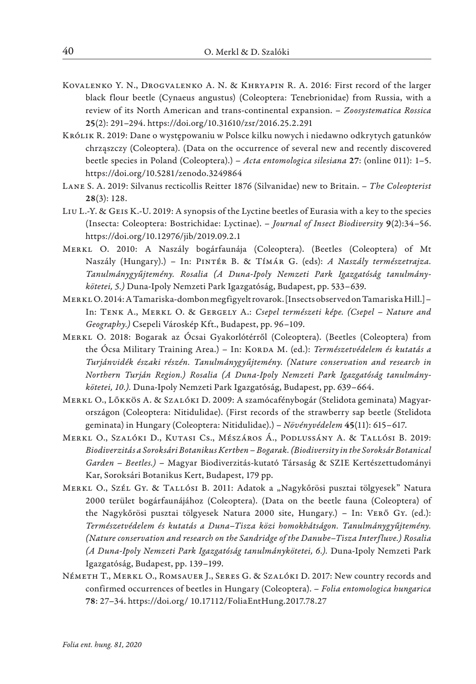- Kovalenko Y. N., Drogvalenko A. N. & Khryapin R. A. 2016: First record of the larger black flour beetle (Cynaeus angustus) (Coleoptera: Tenebrionidae) from Russia, with a review of its North American and trans-continental expansion. – *Zoosystematica Rossica* 25(2): 291–294. https://doi.org/10.31610/zsr/2016.25.2.291
- Królik R. 2019: Dane o występowaniu w Polsce kilku nowych i niedawno odkrytych gatunków chrząszczy (Coleoptera). (Data on the occurrence of several new and recently discovered beetle species in Poland (Coleoptera).) – *Acta entomologica silesiana* 27: (online 011): 1–5. https://doi.org/10.5281/zenodo.3249864
- Lane S. A. 2019: Silvanus recticollis Reitter 1876 (Silvanidae) new to Britain. *The Coleopterist* 28(3): 128.
- Liu L.-Y. & Geis K.-U. 2019: A synopsis of the Lyctine beetles of Eurasia with a key to the species (Insecta: Coleoptera: Bostrichidae: Lyctinae). – *Journal of Insect Biodiversity* 9(2):34–56. https://doi.org/10.12976/jib/2019.09.2.1
- Merkl O. 2010: A Naszály bogárfaunája (Coleoptera). (Beetles (Coleoptera) of Mt Naszály (Hungary).) – In: Pintér B. & Tímár G. (eds): *A Naszály természetrajza. Tanulmánygyűjtemény. Rosalia (A Duna-Ipoly Nemzeti Park Igazgatóság tanulmánykötetei, 5.)* Duna-Ipoly Nemzeti Park Igazgatóság, Budapest, pp. 533–639.
- Merkl O. 2014: A Tamariska-dombon megfigyelt rovarok. [Insects observed on Tamariska Hill.] In: Tenk A., Merkl O. & Gergely A.: *Csepel természeti képe. (Csepel – Nature and Geography.)* Csepeli Városkép Kft., Budapest, pp. 96–109.
- Merkl O. 2018: Bogarak az Ócsai Gyakorlótérről (Coleoptera). (Beetles (Coleoptera) from the Ócsa Military Training Area.) – In: Korda M. (ed.): *Természetvédelem és kutatás a Turjánvidék északi részén. Tanulmánygyűjtemény. (Nature conservation and research in Northern Turján Region.) Rosalia (A Duna-Ipoly Nemzeti Park Igazgatóság tanulmánykötetei, 10.).* Duna-Ipoly Nemzeti Park Igazgatóság, Budapest, pp. 639–664.
- Merkl O., Lőkkös A. & Szalóki D. 2009: A szamócafénybogár (Stelidota geminata) Magyarországon (Coleoptera: Nitidulidae). (First records of the strawberry sap beetle (Stelidota geminata) in Hungary (Coleoptera: Nitidulidae).) – *Növényvédelem* 45(11): 615–617.
- Merkl O., Szalóki D., Kutasi Cs., Mészáros Á., Podlussány A. & Tallósi B. 2019: *Biodiverzitás a Soroksári Botanikus Kertben – Bogarak. (Biodiversity in the Soroksár Botanical Garden – Beetles.)* – Magyar Biodiverzitás-kutató Társaság & SZIE Kertészettudományi Kar, Soroksári Botanikus Kert, Budapest, 179 pp.
- MERKL O., Szél Gy. & TALLÓSI B. 2011: Adatok a "Nagykőrösi pusztai tölgyesek" Natura 2000 terület bogárfaunájához (Coleoptera). (Data on the beetle fauna (Coleoptera) of the Nagykőrösi pusztai tölgyesek Natura 2000 site, Hungary.) – In: Verő Gy. (ed.): *Természetvédelem és kutatás a Duna–Tisza közi homokhátságon. Tanulmánygyűjtemény. (Nature conservation and research on the Sandridge of the Danube–Tisza Interfluve.) Rosalia (A Duna-Ipoly Nemzeti Park Igazgatóság tanulmánykötetei, 6.).* Duna-Ipoly Nemzeti Park Igazgatóság, Budapest, pp. 139–199.
- Németh T., Merkl O., Romsauer J., Seres G. & Szalóki D. 2017: New country records and confirmed occurrences of beetles in Hungary (Coleoptera). – *Folia entomologica hungarica* 78: 27–34. https://doi.org/ 10.17112/FoliaEntHung.2017.78.27